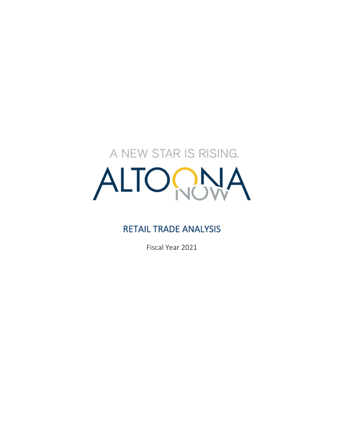# A NEW STAR IS RISING. ALTOON

# RETAIL TRADE ANALYSIS

Fiscal Year 2021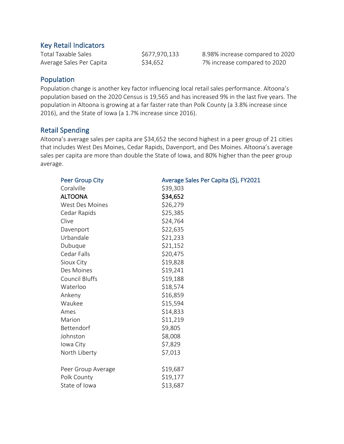#### Key Retail Indicators

Total Taxable Sales  $$677,970,133$  8.98% increase compared to 2020 Average Sales Per Capita  $$34,652$  7% increase compared to 2020

# Population

Population change is another key factor influencing local retail sales performance. Altoona's population based on the 2020 Census is 19,565 and has increased 9% in the last five years. The population in Altoona is growing at a far faster rate than Polk County (a 3.8% increase since 2016), and the State of Iowa (a 1.7% increase since 2016).

# Retail Spending

Altoona's average sales per capita are \$34,652 the second highest in a peer group of 21 cities that includes West Des Moines, Cedar Rapids, Davenport, and Des Moines. Altoona's average sales per capita are more than double the State of Iowa, and 80% higher than the peer group average.

| <b>Peer Group City</b> | Average Sales Per Capita (\$), FY2021 |  |
|------------------------|---------------------------------------|--|
| Coralville             | \$39,303                              |  |
| <b>ALTOONA</b>         | \$34,652                              |  |
| <b>West Des Moines</b> | \$26,279                              |  |
| Cedar Rapids           | \$25,385                              |  |
| Clive                  | \$24,764                              |  |
| Davenport              | \$22,635                              |  |
| Urbandale              | \$21,233                              |  |
| Dubuque                | \$21,152                              |  |
| Cedar Falls            | \$20,475                              |  |
| Sioux City             | \$19,828                              |  |
| Des Moines             | \$19,241                              |  |
| Council Bluffs         | \$19,188                              |  |
| Waterloo               | \$18,574                              |  |
| Ankeny                 | \$16,859                              |  |
| Waukee                 | \$15,594                              |  |
| Ames                   | \$14,833                              |  |
| Marion                 | \$11,219                              |  |
| Bettendorf             | \$9,805                               |  |
| Johnston               | \$8,008                               |  |
| Iowa City              | \$7,829                               |  |
| North Liberty          | \$7,013                               |  |
|                        |                                       |  |
| Peer Group Average     | \$19,687                              |  |
| Polk County            | \$19,177                              |  |
| State of Iowa          | \$13,687                              |  |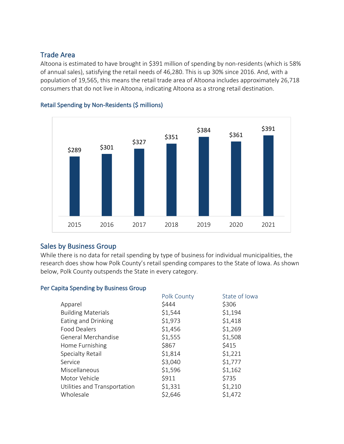# Trade Area

Altoona is estimated to have brought in \$391 million of spending by non-residents (which is 58% of annual sales), satisfying the retail needs of 46,280. This is up 30% since 2016. And, with a population of 19,565, this means the retail trade area of Altoona includes approximately 26,718 consumers that do not live in Altoona, indicating Altoona as a strong retail destination.



#### Retail Spending by Non-Residents (\$ millions)

# Sales by Business Group

While there is no data for retail spending by type of business for individual municipalities, the research does show how Polk County's retail spending compares to the State of Iowa. As shown below, Polk County outspends the State in every category.

# Per Capita Spending by Business Group

|                              | Polk County | State of Iowa |
|------------------------------|-------------|---------------|
| Apparel                      | \$444       | \$306         |
| <b>Building Materials</b>    | \$1,544     | \$1,194       |
| Eating and Drinking          | \$1,973     | \$1,418       |
| <b>Food Dealers</b>          | \$1,456     | \$1,269       |
| General Merchandise          | \$1,555     | \$1,508       |
| Home Furnishing              | \$867       | \$415         |
| <b>Specialty Retail</b>      | \$1,814     | \$1,221       |
| Service                      | \$3,040     | \$1,777       |
| Miscellaneous                | \$1,596     | \$1,162       |
| Motor Vehicle                | \$911       | \$735         |
| Utilities and Transportation | \$1,331     | \$1,210       |
| Wholesale                    | \$2,646     | \$1,472       |